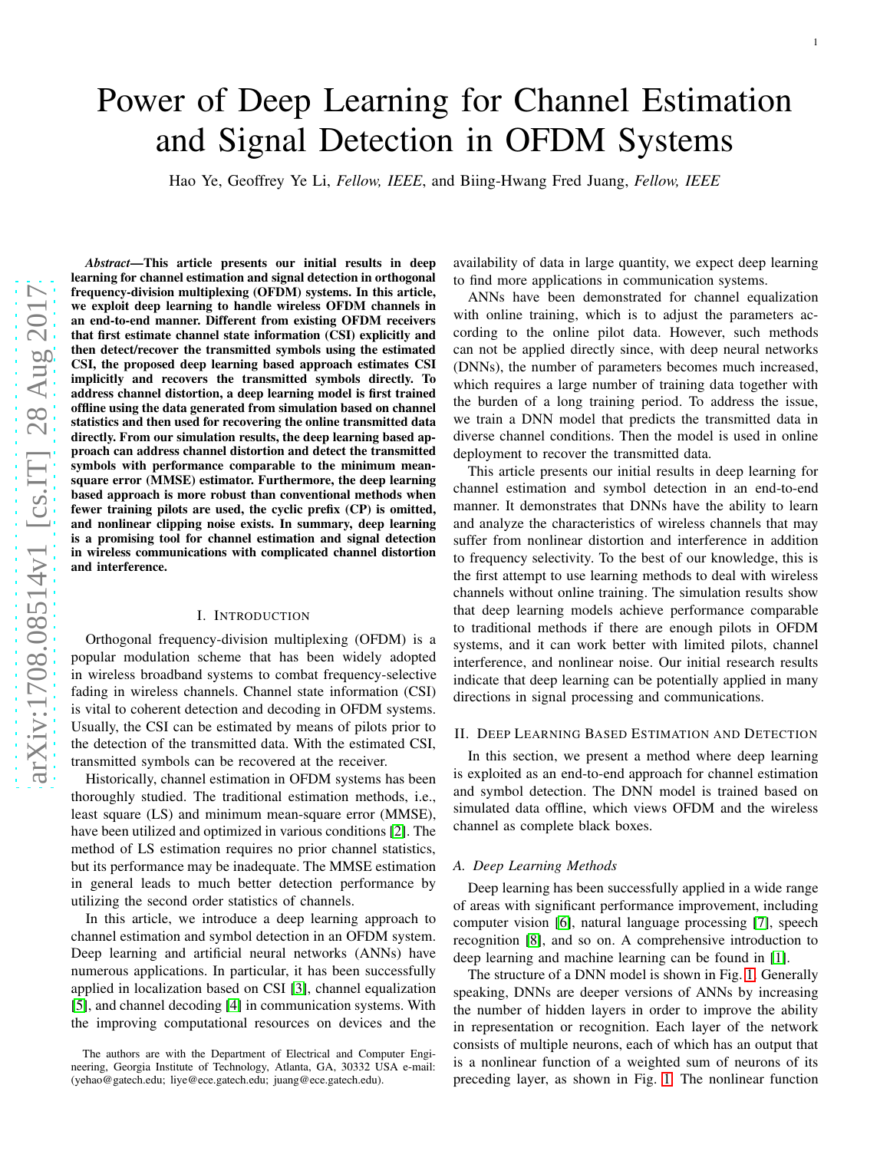# Power of Deep Learning for Channel Estimation and Signal Detection in OFDM Systems

Hao Ye, Geoffrey Ye Li, *Fellow, IEEE*, and Biing-Hwang Fred Juang, *Fellow, IEEE*

*Abstract*—This article presents our initial results in deep learning for channel estimation and signal detection in orthogonal frequency-division multiplexing (OFDM) systems. In this article, we exploit deep learning to handle wireless OFDM channels in an end-to-end manner. Different from existing OFDM receivers that first estimate channel state information (CSI) explicitly and then detect/recover the transmitted symbols using the estimated CSI, the proposed deep learning based approach estimates CS I implicitly and recovers the transmitted symbols directly. To address channel distortion, a deep learning model is first trained offline using the data generated from simulation based on channel statistics and then used for recovering the online transmitted data directly. From our simulation results, the deep learning based approach can address channel distortion and detect the transmitted symbols with performance comparable to the minimum meansquare error (MMSE) estimator. Furthermore, the deep learning based approach is more robust than conventional methods whe n fewer training pilots are used, the cyclic prefix (CP) is omitted, and nonlinear clipping noise exists. In summary, deep learning is a promising tool for channel estimation and signal detection in wireless communications with complicated channel distortion and interference.

# I. INTRODUCTION

Orthogonal frequency-division multiplexing (OFDM) is a popular modulation scheme that has been widely adopted in wireless broadband systems to combat frequency-selective fading in wireless channels. Channel state information (CSI) is vital to coherent detection and decoding in OFDM systems. Usually, the CSI can be estimated by means of pilots prior to the detection of the transmitted data. With the estimated CSI, transmitted symbols can be recovered at the receiver.

Historically, channel estimation in OFDM systems has been thoroughly studied. The traditional estimation methods, i.e., least square (LS) and minimum mean-square error (MMSE), have been utilized and optimized in various conditions [\[2\]](#page-3-0). The method of LS estimation requires no prior channel statistics, but its performance may be inadequate. The MMSE estimation in general leads to much better detection performance by utilizing the second order statistics of channels.

In this article, we introduce a deep learning approach to channel estimation and symbol detection in an OFDM system. Deep learning and artificial neural networks (ANNs) have numerous applications. In particular, it has been successfully applied in localization based on CSI [\[3\]](#page-3-1), channel equalization [\[5\]](#page-3-2), and channel decoding [\[4\]](#page-3-3) in communication systems. With the improving computational resources on devices and the availability of data in large quantity, we expect deep learning to find more applications in communication systems.

ANNs have been demonstrated for channel equalization with online training, which is to adjust the parameters according to the online pilot data. However, such methods can not be applied directly since, with deep neural networks (DNNs), the number of parameters becomes much increased, which requires a large number of training data together with the burden of a long training period. To address the issue, we train a DNN model that predicts the transmitted data in diverse channel conditions. Then the model is used in online deployment to recover the transmitted data.

This article presents our initial results in deep learning for channel estimation and symbol detection in an end-to-end manner. It demonstrates that DNNs have the ability to learn and analyze the characteristics of wireless channels that may suffer from nonlinear distortion and interference in addition to frequency selectivity. To the best of our knowledge, this is the first attempt to use learning methods to deal with wireles s channels without online training. The simulation results show that deep learning models achieve performance comparable to traditional methods if there are enough pilots in OFDM systems, and it can work better with limited pilots, channel interference, and nonlinear noise. Our initial research results indicate that deep learning can be potentially applied in many directions in signal processing and communications.

## II. DEEP LEARNING BASED ESTIMATION AND DETECTION

In this section, we present a method where deep learning is exploited as an end-to-end approach for channel estimation and symbol detection. The DNN model is trained based on simulated data offline, which views OFDM and the wireless channel as complete black boxes.

#### *A. Deep Learning Methods*

Deep learning has been successfully applied in a wide range of areas with significant performance improvement, including computer vision [\[6\]](#page-3-4), natural language processing [\[7\]](#page-3-5), speech recognition [\[8\]](#page-3-6), and so on. A comprehensive introduction to deep learning and machine learning can be found in [\[1\]](#page-3-7).

The structure of a DNN model is shown in Fig. [1.](#page-1-0) Generally speaking, DNNs are deeper versions of ANNs by increasing the number of hidden layers in order to improve the ability in representation or recognition. Each layer of the network consists of multiple neurons, each of which has an output tha t is a nonlinear function of a weighted sum of neurons of its preceding layer, as shown in Fig. [1.](#page-1-0) The nonlinear function

The authors are with the Department of Electrical and Computer Engineering, Georgia Institute of Technology, Atlanta, GA, 30332 USA e-mail: (yehao@gatech.edu; liye@ece.gatech.edu; juang@ece.gatech.edu).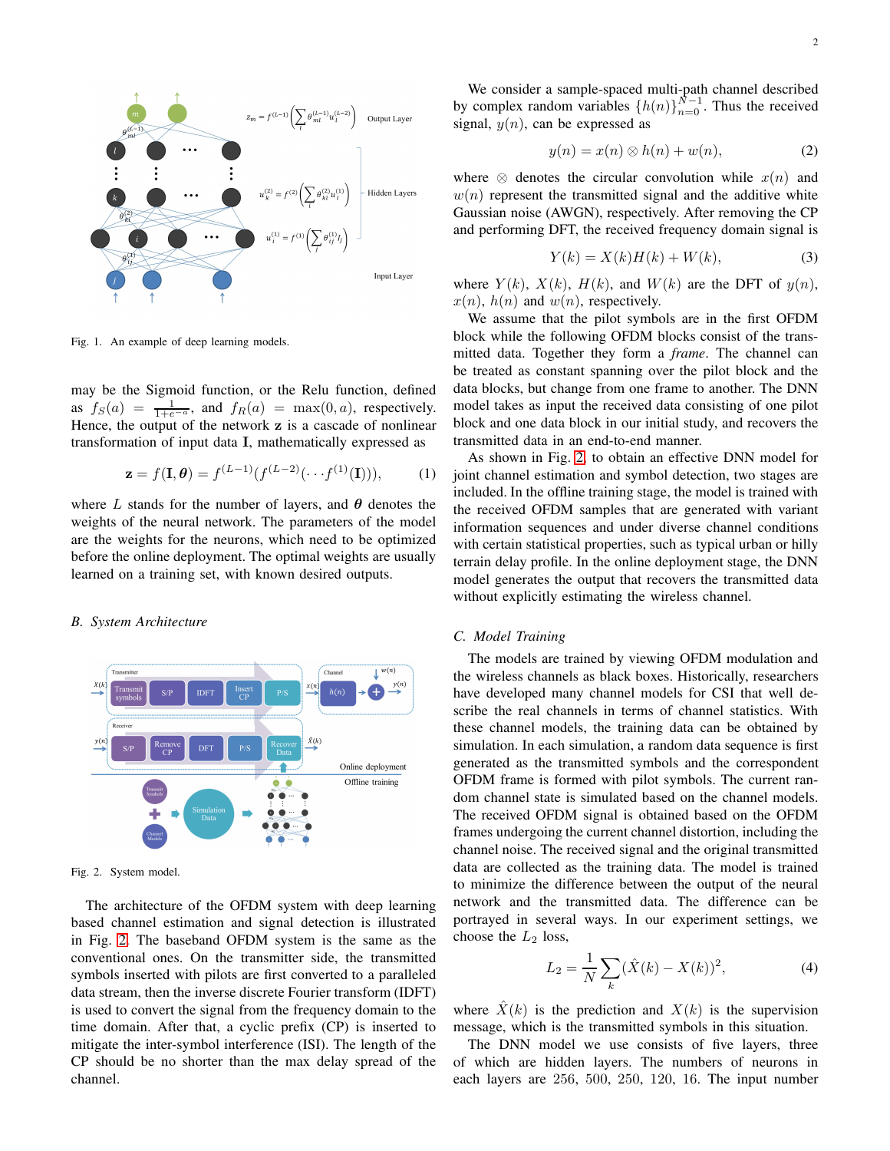

<span id="page-1-0"></span>Fig. 1. An example of deep learning models.

may be the Sigmoid function, or the Relu function, defined as  $f_S(a) = \frac{1}{1+e^{-a}}$ , and  $f_R(a) = \max(0, a)$ , respectively. Hence, the output of the network z is a cascade of nonlinear transformation of input data I, mathematically expressed as

$$
\mathbf{z} = f(\mathbf{I}, \boldsymbol{\theta}) = f^{(L-1)}(f^{(L-2)}(\cdots f^{(1)}(\mathbf{I}))), \quad (1)
$$

where L stands for the number of layers, and  $\theta$  denotes the weights of the neural network. The parameters of the model are the weights for the neurons, which need to be optimized before the online deployment. The optimal weights are usually learned on a training set, with known desired outputs.

## *B. System Architecture*



<span id="page-1-1"></span>Fig. 2. System model.

The architecture of the OFDM system with deep learning based channel estimation and signal detection is illustrated in Fig. [2.](#page-1-1) The baseband OFDM system is the same as the conventional ones. On the transmitter side, the transmitted symbols inserted with pilots are first converted to a paralleled data stream, then the inverse discrete Fourier transform (IDFT) is used to convert the signal from the frequency domain to the time domain. After that, a cyclic prefix (CP) is inserted to mitigate the inter-symbol interference (ISI). The length of the CP should be no shorter than the max delay spread of the channel.

2

We consider a sample-spaced multi-path channel described by complex random variables  ${h(n)}_{n=0}^{N-1}$ . Thus the received signal,  $y(n)$ , can be expressed as

$$
y(n) = x(n) \otimes h(n) + w(n), \tag{2}
$$

where  $\otimes$  denotes the circular convolution while  $x(n)$  and  $w(n)$  represent the transmitted signal and the additive white Gaussian noise (AWGN), respectively. After removing the CP and performing DFT, the received frequency domain signal is

$$
Y(k) = X(k)H(k) + W(k),\tag{3}
$$

where  $Y(k)$ ,  $X(k)$ ,  $H(k)$ , and  $W(k)$  are the DFT of  $y(n)$ ,  $x(n)$ ,  $h(n)$  and  $w(n)$ , respectively.

We assume that the pilot symbols are in the first OFDM block while the following OFDM blocks consist of the transmitted data. Together they form a *frame*. The channel can be treated as constant spanning over the pilot block and the data blocks, but change from one frame to another. The DNN model takes as input the received data consisting of one pilot block and one data block in our initial study, and recovers the transmitted data in an end-to-end manner.

As shown in Fig. [2,](#page-1-1) to obtain an effective DNN model for joint channel estimation and symbol detection, two stages are included. In the offline training stage, the model is trained with the received OFDM samples that are generated with variant information sequences and under diverse channel conditions with certain statistical properties, such as typical urban or hilly terrain delay profile. In the online deployment stage, the DNN model generates the output that recovers the transmitted data without explicitly estimating the wireless channel.

#### *C. Model Training*

The models are trained by viewing OFDM modulation and the wireless channels as black boxes. Historically, researchers have developed many channel models for CSI that well describe the real channels in terms of channel statistics. With these channel models, the training data can be obtained by simulation. In each simulation, a random data sequence is first generated as the transmitted symbols and the correspondent OFDM frame is formed with pilot symbols. The current random channel state is simulated based on the channel models. The received OFDM signal is obtained based on the OFDM frames undergoing the current channel distortion, including the channel noise. The received signal and the original transmitted data are collected as the training data. The model is trained to minimize the difference between the output of the neural network and the transmitted data. The difference can be portrayed in several ways. In our experiment settings, we choose the  $L_2$  loss,

$$
L_2 = \frac{1}{N} \sum_{k} (\hat{X}(k) - X(k))^2,
$$
 (4)

where  $\hat{X}(k)$  is the prediction and  $X(k)$  is the supervision message, which is the transmitted symbols in this situation.

The DNN model we use consists of five layers, three of which are hidden layers. The numbers of neurons in each layers are 256, 500, 250, 120, 16. The input number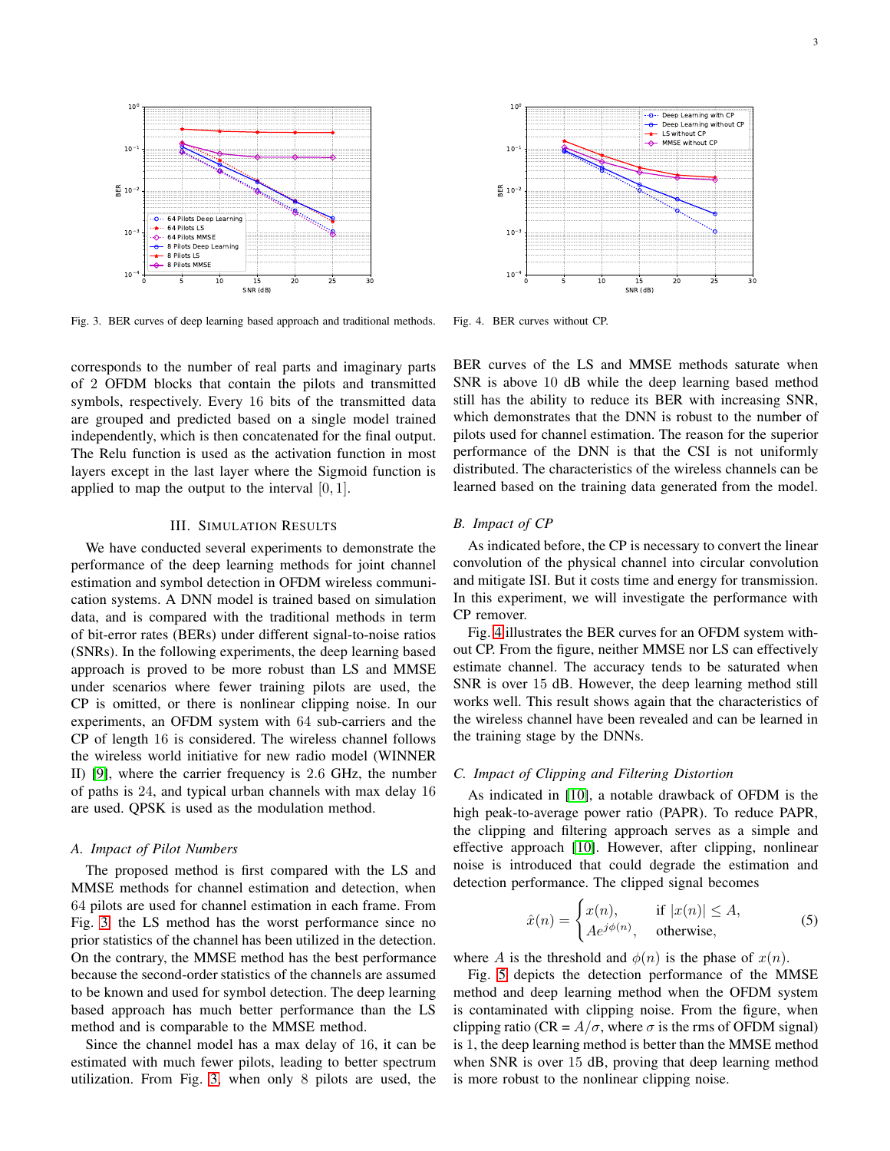

<span id="page-2-0"></span>Fig. 3. BER curves of deep learning based approach and traditional methods.

corresponds to the number of real parts and imaginary parts of 2 OFDM blocks that contain the pilots and transmitted symbols, respectively. Every 16 bits of the transmitted data are grouped and predicted based on a single model trained independently, which is then concatenated for the final output. The Relu function is used as the activation function in most layers except in the last layer where the Sigmoid function is applied to map the output to the interval  $[0, 1]$ .

#### III. SIMULATION RESULTS

We have conducted several experiments to demonstrate the performance of the deep learning methods for joint channel estimation and symbol detection in OFDM wireless communication systems. A DNN model is trained based on simulation data, and is compared with the traditional methods in term of bit-error rates (BERs) under different signal-to-noise ratios (SNRs). In the following experiments, the deep learning based approach is proved to be more robust than LS and MMSE under scenarios where fewer training pilots are used, the CP is omitted, or there is nonlinear clipping noise. In our experiments, an OFDM system with 64 sub-carriers and the CP of length 16 is considered. The wireless channel follows the wireless world initiative for new radio model (WINNER II) [\[9\]](#page-3-8), where the carrier frequency is 2.6 GHz, the number of paths is 24, and typical urban channels with max delay 16 are used. QPSK is used as the modulation method.

## *A. Impact of Pilot Numbers*

The proposed method is first compared with the LS and MMSE methods for channel estimation and detection, when 64 pilots are used for channel estimation in each frame. From Fig. [3,](#page-2-0) the LS method has the worst performance since no prior statistics of the channel has been utilized in the detection. On the contrary, the MMSE method has the best performance because the second-order statistics of the channels are assumed to be known and used for symbol detection. The deep learning based approach has much better performance than the LS method and is comparable to the MMSE method.

Since the channel model has a max delay of 16, it can be estimated with much fewer pilots, leading to better spectrum utilization. From Fig. [3,](#page-2-0) when only 8 pilots are used, the



<span id="page-2-1"></span>Fig. 4. BER curves without CP.

BER curves of the LS and MMSE methods saturate when SNR is above 10 dB while the deep learning based method still has the ability to reduce its BER with increasing SNR, which demonstrates that the DNN is robust to the number of pilots used for channel estimation. The reason for the superior performance of the DNN is that the CSI is not uniformly distributed. The characteristics of the wireless channels can be learned based on the training data generated from the model.

#### *B. Impact of CP*

As indicated before, the CP is necessary to convert the linear convolution of the physical channel into circular convolution and mitigate ISI. But it costs time and energy for transmission. In this experiment, we will investigate the performance with CP remover.

Fig. [4](#page-2-1) illustrates the BER curves for an OFDM system without CP. From the figure, neither MMSE nor LS can effectively estimate channel. The accuracy tends to be saturated when SNR is over 15 dB. However, the deep learning method still works well. This result shows again that the characteristics of the wireless channel have been revealed and can be learned in the training stage by the DNNs.

## *C. Impact of Clipping and Filtering Distortion*

As indicated in [\[10\]](#page-3-9), a notable drawback of OFDM is the high peak-to-average power ratio (PAPR). To reduce PAPR, the clipping and filtering approach serves as a simple and effective approach [\[10\]](#page-3-9). However, after clipping, nonlinear noise is introduced that could degrade the estimation and detection performance. The clipped signal becomes

$$
\hat{x}(n) = \begin{cases} x(n), & \text{if } |x(n)| \le A, \\ A e^{j\phi(n)}, & \text{otherwise,} \end{cases}
$$
 (5)

where A is the threshold and  $\phi(n)$  is the phase of  $x(n)$ .

Fig. [5](#page-3-10) depicts the detection performance of the MMSE method and deep learning method when the OFDM system is contaminated with clipping noise. From the figure, when clipping ratio (CR =  $A/\sigma$ , where  $\sigma$  is the rms of OFDM signal) is 1, the deep learning method is better than the MMSE method when SNR is over 15 dB, proving that deep learning method is more robust to the nonlinear clipping noise.